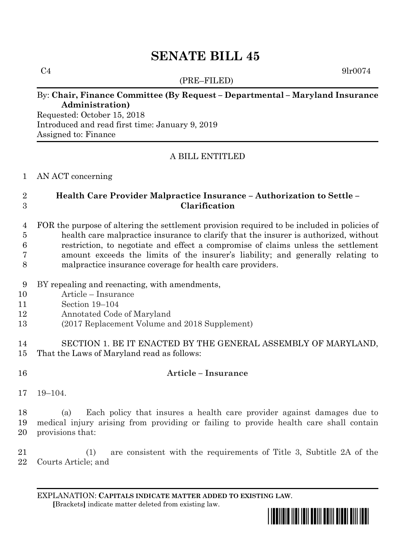# **SENATE BILL 45**

(PRE–FILED)

 $C4$  9lr0074

## By: **Chair, Finance Committee (By Request – Departmental – Maryland Insurance Administration)**

Requested: October 15, 2018 Introduced and read first time: January 9, 2019 Assigned to: Finance

# A BILL ENTITLED

### AN ACT concerning

# **Health Care Provider Malpractice Insurance – Authorization to Settle – Clarification**

 FOR the purpose of altering the settlement provision required to be included in policies of health care malpractice insurance to clarify that the insurer is authorized, without restriction, to negotiate and effect a compromise of claims unless the settlement amount exceeds the limits of the insurer's liability; and generally relating to malpractice insurance coverage for health care providers.

- BY repealing and reenacting, with amendments,
- Article Insurance
- Section 19–104
- Annotated Code of Maryland
- (2017 Replacement Volume and 2018 Supplement)
- SECTION 1. BE IT ENACTED BY THE GENERAL ASSEMBLY OF MARYLAND, That the Laws of Maryland read as follows:
- 

# **Article – Insurance**

19–104.

 (a) Each policy that insures a health care provider against damages due to medical injury arising from providing or failing to provide health care shall contain provisions that:

 (1) are consistent with the requirements of Title 3, Subtitle 2A of the Courts Article; and

EXPLANATION: **CAPITALS INDICATE MATTER ADDED TO EXISTING LAW**.  **[**Brackets**]** indicate matter deleted from existing law.